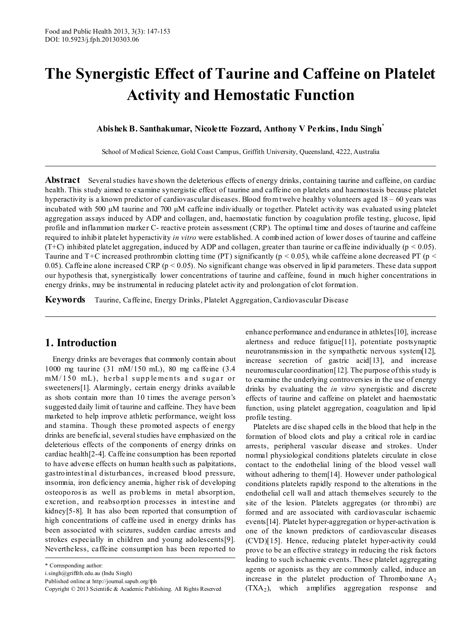# **The Synergistic Effect of Taurine and Caffeine on Platelet Activity and Hemostatic Function**

**Abishek B. Santhakumar, Nicolette Fozzard, Anthony V Perkins, Indu Singh\***

School of Medical Science, Gold Coast Campus, Griffith University, Queensland, 4222, Australia

**Abstract** Several studies have shown the deleterious effects of energy drinks, containing taurine and caffeine, on cardiac health. This study aimed to examine synergistic effect of taurine and caffeine on platelets and haemostasis because platelet hyperactivity is a known predictor of cardiovascular diseases. Blood from twelve healthy volunteers aged 18 – 60 years was incubated with 500 µM taurine and 700 µM caffeine individually or together. Platelet activity was evaluated using platelet aggregation assays induced by ADP and collagen, and, haemostatic function by coagulation profile testing, glucose, lipid profile and inflammation marker C- reactive protein assessment (CRP). The optimal time and doses of taurine and caffeine required to inhibit platelet hyperactivity *in vitro* were established. A combined action of lower doses of taurine and caffeine (T+C) inhibited platelet aggregation, induced by ADP and collagen, greater than taurine or caffeine individually ( $p < 0.05$ ). Taurine and T+C increased prothrombin clotting time (PT) significantly ( $p < 0.05$ ), while caffeine alone decreased PT ( $p <$ 0.05). Caffeine alone increased CRP ( $p < 0.05$ ). No significant change was observed in lipid parameters. These data support our hypothesis that, synergistically lower concentrations of taurine and caffeine, found in much higher concentrations in energy drinks, may be instrumental in reducing platelet activity and prolongation of clot formation.

**Keywords** Taurine, Caffeine, Energy Drinks, Platelet Aggregation, Cardiovascular Disease

## **1. Introduction**

Energy drinks are beverages that commonly contain about 1000 mg taurine (31 mM/150 mL), 80 mg caffeine (3.4  $mM/150$  mL), herbal supplements and sugar or sweeteners[1]. Alarmingly, certain energy drinks available as shots contain more than 10 times the average person's suggested daily limit of taurine and caffeine. They have been marketed to help improve athletic performance, weight loss and stamina. Though these promoted aspects of energy drinks are beneficial, several studies have emphasized on the deleterious effects of the components of energy drinks on cardiac health[2-4]. Caffeine consumption has been reported to have adverse effects on human health such as palpitations, gastrointestinal disturbances, increased blood pressure, insomnia, iron deficiency anemia, higher risk of developing osteoporos is as well as problems in metal absorption, excretion, and reabsorption processes in intestine and kidney[5-8]. It has also been reported that consumption of high concentrations of caffeine used in energy drinks has been associated with seizures, sudden cardiac arrests and strokes especially in children and young adolescents[9]. Nevertheless, caffeine consumption has been reported to

enhance performance and endurance in athletes[10], increase alertness and reduce fatigue[11], potentiate postsynaptic neurotransmission in the sympathetic nervous system[12], increase secretion of gastric acid[13], and increase neuromuscular coordination[12]. The purpose of this study is to examine the underlying controversies in the use of energy drinks by evaluating the *in vitro* synergistic and discrete effects of taurine and caffeine on platelet and haemostatic function, using platelet aggregation, coagulation and lipid profile testing.

Platelets are disc shaped cells in the blood that help in the formation of blood clots and play a critical role in cardiac arrests, peripheral vascular disease and strokes. Under normal physiological conditions platelets circulate in close contact to the endothelial lining of the blood vessel wall without adhering to them[14]. However under pathological conditions platelets rapidly respond to the alterations in the endothelial cell wall and attach themselves securely to the site of the lesion. Platelets aggregates (or thrombi) are formed and are associated with cardiovascular ischaemic events[14]. Platelet hyper-aggregation or hyper-activation is one of the known predictors of cardiovascular diseases (CVD)[15]. Hence, reducing platelet hyper-activity could prove to be an effective strategy in reducing the risk factors leading to such ischaemic events. These platelet aggregating agents or agonists as they are commonly called, induce an increase in the platelet production of Thromboxane  $A_2$  $(TXA<sub>2</sub>)$ , which amplifies aggregation response and

<sup>\*</sup> Corresponding author:

i.singh@griffith.edu.au (Indu Singh)

Published online at http://journal.sapub.org/fph

Copyright © 2013 Scientific & Academic Publishing. All Rights Reserved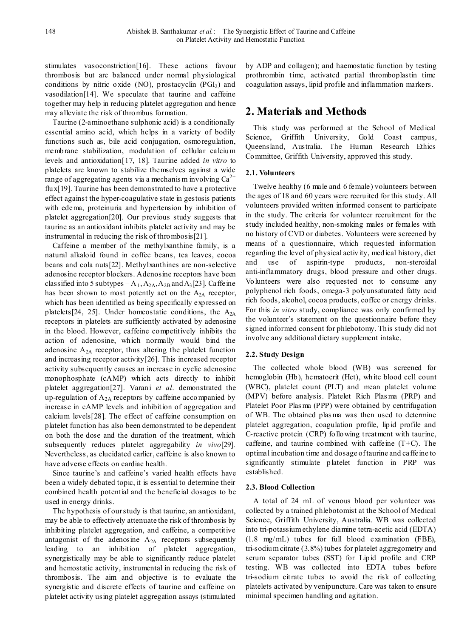stimulates vasoconstriction[16]. These actions favour thrombosis but are balanced under normal physiological conditions by nitric oxide  $(NO)$ , prostacyclin  $(PGI<sub>2</sub>)$  and vasodilation[14]. We speculate that taurine and caffeine together may help in reducing platelet aggregation and hence may alleviate the risk of thrombus formation.

Taurine (2-aminoethane sulphonic acid) is a conditionally essential amino acid, which helps in a variety of bodily functions such as, bile acid conjugation, osmoregulation, membrane stabilization, modulation of cellular calcium levels and antioxidation[17, 18]. Taurine added *in vitro* to platelets are known to stabilize themselves against a wide range of aggregating agents via a mechanis m involving  $Ca^{2+}$ flux[19]. Taurine has been demonstrated to have a protective effect against the hyper-coagulative state in gestosis patients with edema, proteinuria and hypertension by inhibition of platelet aggregation[20]. Our previous study suggests that taurine as an antioxidant inhibits platelet activity and may be instrumental in reducing the risk of thrombosis[21].

Caffeine a member of the methylxanthine family, is a natural alkaloid found in coffee beans, tea leaves, cocoa beans and cola nuts[22]. Methylxanthines are non-selective adenosine receptor blockers. Adenosine receptors have been classified into 5 subtypes  $-A_1, A_{2A}, A_{2B}$  and  $A_3[23]$ . Caffeine has been shown to most potently act on the  $A_{2A}$  receptor, which has been identified as being specifically expressed on platelets [24, 25]. Under homeostatic conditions, the  $A_{2A}$ receptors in platelets are sufficiently activated by adenosine in the blood. However, caffeine competitively inhibits the action of adenosine, which normally would bind the adenosine  $A_{2A}$  receptor, thus altering the platelet function and increasing receptor activity[26]. This increased receptor activity subsequently causes an increase in cyclic adenosine monophosphate (cAMP) which acts directly to inhibit platelet aggregation[27]. Varani *et al*. demonstrated the up-regulation of  $A_{2A}$  receptors by caffeine accompanied by increase in cAMP levels and inhibition of aggregation and calcium levels[28]. The effect of caffeine consumption on platelet function has also been demonstrated to be dependent on both the dose and the duration of the treatment, which subsequently reduces platelet aggregability *in vivo*[29]. Nevertheless, as elucidated earlier, caffeine is also known to have adverse effects on cardiac health.

Since taurine's and caffeine's varied health effects have been a widely debated topic, it is essential to determine their combined health potential and the beneficial dosages to be used in energy drinks.

The hypothesis of our study is that taurine, an antioxidant, may be able to effectively attenuate the risk of thrombosis by inhibiting platelet aggregation, and caffeine, a competitive antagonist of the adenosine  $A_{2A}$  receptors subsequently leading to an inhibition of platelet aggregation, synergistically may be able to significantly reduce platelet and hemostatic activity, instrumental in reducing the risk of thrombosis. The aim and objective is to evaluate the synergistic and discrete effects of taurine and caffeine on platelet activity using platelet aggregation assays (stimulated

by ADP and collagen); and haemostatic function by testing prothrombin time, activated partial thromboplastin time coagulation assays, lipid profile and inflammation markers.

# **2. Materials and Methods**

This study was performed at the School of Medical Science, Griffith University, Gold Coast campus, Queensland, Australia. The Human Research Ethics Committee, Griffith University, approved this study.

## **2.1. Volunteers**

Twelve healthy (6 male and 6 female) volunteers between the ages of 18 and 60 years were recruited for this study. All volunteers provided written informed consent to participate in the study. The criteria for volunteer recruitment for the study included healthy, non-smoking males or females with no history of CVD or diabetes. Volunteers were screened by means of a questionnaire, which requested information regarding the level of physical activity, medical history, diet and use of aspirin-type products, non-steroidal anti-inflammatory drugs, blood pressure and other drugs. Volunteers were also requested not to consume any polyphenol rich foods, omega-3 polyunsaturated fatty acid rich foods, alcohol, cocoa products, coffee or energy drinks. For this *in vitro* study, compliance was only confirmed by the volunteer's statement on the questionnaire before they signed informed consent for phlebotomy. This study did not involve any additional dietary supplement intake.

## **2.2. Study Design**

The collected whole blood (WB) was screened for hemoglobin (Hb), hematocrit (Hct), white blood cell count (WBC), platelet count (PLT) and mean platelet volume (MPV) before analysis. Platelet Rich Plas ma (PRP) and Platelet Poor Plas ma (PPP) were obtained by centrifugation of WB. The obtained plas ma was then used to determine platelet aggregation, coagulation profile, lipid profile and C-reactive protein (CRP) following treatment with taurine, caffeine, and taurine combined with caffeine  $(T+C)$ . The optimal incubation time and dosage of taurine and caffeine to significantly stimulate platelet function in PRP was established.

## **2.3. Blood Collection**

A total of 24 mL of venous blood per volunteer was collected by a trained phlebotomist at the School of Medical Science, Griffith University, Australia. WB was collected into tri-potassium ethylene diamine tetra-acetic acid (EDTA) (1.8 mg/mL) tubes for full blood examination (FBE), tri-sodium citrate (3.8%) tubes for platelet aggregometry and serum separator tubes (SST) for Lipid profile and CRP testing. WB was collected into EDTA tubes before tri-sodium citrate tubes to avoid the risk of collecting platelets activated by venipuncture. Care was taken to ensure minimal specimen handling and agitation.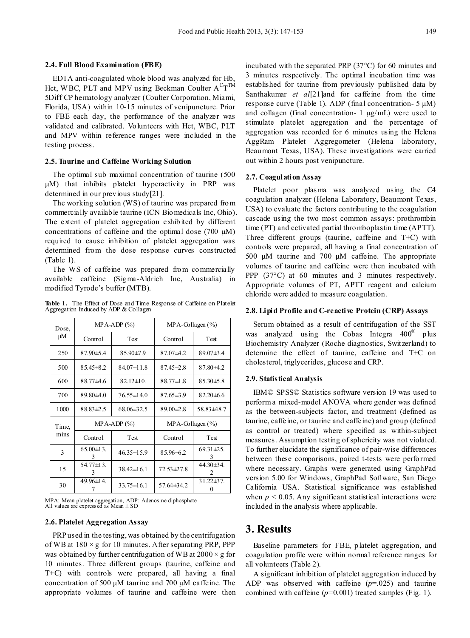#### **2.4. Full Blood Examination (FBE)**

EDTA anti-coagulated whole blood was analyzed for Hb, Hct, WBC, PLT and MPV using Beckman Coulter  $A^{C}T^{TM}$ 5Diff CP hematology analyzer (Coulter Corporation, Miami, Florida, USA) within 10-15 minutes of venipuncture. Prior to FBE each day, the performance of the analyzer was validated and calibrated. Volunteers with Hct, WBC, PLT and MPV within reference ranges were included in the testing process.

#### **2.5. Taurine and Caffeine Working Solution**

The optimal sub maximal concentration of taurine (500 µM) that inhibits platelet hyperactivity in PRP was determined in our previous study[21].

The working solution (WS) of taurine was prepared from commercially available taurine (ICN Biomedicals Inc, Ohio). The extent of platelet aggregation exhibited by different concentrations of caffeine and the optimal dose (700  $\mu$ M) required to cause inhibition of platelet aggregation was determined from the dose response curves constructed (Table 1).

The WS of caffeine was prepared from commercially available caffeine (Sigma-Aldrich Inc, Australia) in modified Tyrode's buffer (MTB).

**Table 1.** The Effect of Dose and Time Response of Caffeine on Platelet Aggregation Induced by ADP & Collagen

| Dose,<br>μM | $MPA-ADP$ (%)         |                  | $MPA$ -Collagen $(\% )$ |                       |
|-------------|-----------------------|------------------|-------------------------|-----------------------|
|             | Control               | Test             | Control                 | Test                  |
| 250         | $87.90 \pm 5.4$       | $85.90 \pm 7.9$  | $87.07 + 4.2$           | $89.07 \pm 3.4$       |
| 500         | $85.45 \pm 8.2$       | $84.07 \pm 11.8$ | $87.45 \pm 2.8$         | 87.80±4.2             |
| 600         | $88.77 \pm 4.6$       | $82.12 \pm 10.$  | $88.77 \pm 1.8$         | $85.30 \pm 5.8$       |
| 700         | $89.80 + 4.0$         | $76.55 \pm 14.0$ | $87.65 \pm 3.9$         | $82.20\pm 6.6$        |
| 1000        | $88.83 \pm 2.5$       | $68.06 \pm 32.5$ | $89.00 \pm 2.8$         | 58.83±48.7            |
| Time,       | $MPA-ADP(%)$          |                  | MPA-Collagen (%)        |                       |
| mins        | Control               | Test             | Control                 | Test                  |
| 3           | $65.00 \pm 13.$<br>3  | $46.35 \pm 15.9$ | $85.96\pm 6.2$          | $69.31 \pm 25.$<br>3  |
| 15          | $54.77 \pm 13$ .<br>3 | $38.42 \pm 16.1$ | 72.53±27.8              | $44.30\pm34.$<br>2    |
| 30          | 49.96±14.             | $33.75 \pm 16.1$ | 57.64±34.2              | $31.22 \pm 37$ .<br>0 |

MPA: Mean platelet aggregation, ADP: Adenosine diphosphate All values are expressed as Mean  $\pm$  SD

#### **2.6. Platelet Aggregation Assay**

PRP used in the testing, was obtained by the centrifugation of WB at  $180 \times g$  for 10 minutes. After separating PRP, PPP was obtained by further centrifugation of WB at  $2000 \times g$  for 10 minutes. Three different groups (taurine, caffeine and T+C) with controls were prepared, all having a final concentration of 500 μM taurine and 700 μM caffeine. The appropriate volumes of taurine and caffeine were then incubated with the separated PRP (37°C) for 60 minutes and 3 minutes respectively. The optimal incubation time was established for taurine from previously published data by Santhakumar *et al*[21]and for caffeine from the time response curve (Table 1). ADP (final concentration- 5 μM) and collagen (final concentration- 1 μg/mL) were used to stimulate platelet aggregation and the percentage of aggregation was recorded for 6 minutes using the Helena AggRam Platelet Aggregometer (Helena laboratory, Beaumont Texas, USA). These investigations were carried out within 2 hours post venipuncture.

#### **2.7. Coagulation Assay**

Platelet poor plasma was analyzed using the C4 coagulation analyzer (Helena Laboratory, Beaumont Texas, USA) to evaluate the factors contributing to the coagulation cascade using the two most common assays: prothrombin time (PT) and cctivated partial thromboplastin time (APTT). Three different groups (taurine, caffeine and T+C) with controls were prepared, all having a final concentration of 500 μM taurine and 700 μM caffeine. The appropriate volumes of taurine and caffeine were then incubated with PPP (37°C) at 60 minutes and 3 minutes respectively. Appropriate volumes of PT, APTT reagent and calcium chloride were added to measure coagulation.

#### **2.8. Lipid Profile and C-reactive Protein (CRP) Assays**

Serum obtained as a result of centrifugation of the SST was analyzed using the Cobas Integra  $400^{\circ}$  plus Biochemistry Analyzer (Roche diagnostics, Switzerland) to determine the effect of taurine, caffeine and T+C on cholesterol, triglycerides, glucose and CRP.

#### **2.9. Statistical Analysis**

IBM© SPSS© Statistics software version 19 was used to perform a mixed-model ANOVA where gender was defined as the between-subjects factor, and treatment (defined as taurine, caffeine, or taurine and caffeine) and group (defined as control or treated) where specified as within-subject measures. Assumption testing of sphericity was not violated. To further elucidate the significance of pair-wise differences between these comparisons, paired t-tests were performed where necessary. Graphs were generated using GraphPad version 5.00 for Windows, GraphPad Software, San Diego California USA. Statistical significance was established when  $p < 0.05$ . Any significant statistical interactions were included in the analysis where applicable.

## **3. Results**

Baseline parameters for FBE, platelet aggregation, and coagulation profile were within normal reference ranges for all volunteers (Table 2).

A significant inhibition of platelet aggregation induced by ADP was observed with caffeine (*p*=.025) and taurine combined with caffeine  $(p=0.001)$  treated samples (Fig. 1).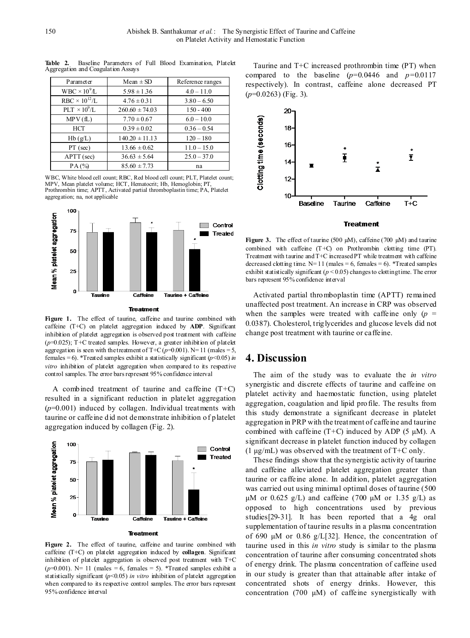| Parameter              | $Mean \pm SD$      | Reference ranges |  |
|------------------------|--------------------|------------------|--|
| $WBC \times 10^{9}L$   | $5.98 \pm 1.36$    | $4.0 - 11.0$     |  |
| $RBC \times 10^{12}/L$ | $4.76 \pm 0.31$    | $3.80 - 6.50$    |  |
| $PLT \times 10^9/L$    | $260.60 \pm 74.03$ | $150 - 400$      |  |
| MPV(fL)                | $7.70 \pm 0.67$    | $6.0 - 10.0$     |  |
| HCT                    | $0.39 \pm 0.02$    | $0.36 - 0.54$    |  |
| Hb(g/L)                | $140.20 \pm 11.13$ | $120 - 180$      |  |
| $PT$ (sec)             | $13.66 \pm 0.62$   | $11.0 - 15.0$    |  |
| APTT (sec)             | $36.63 \pm 5.64$   | $25.0 - 37.0$    |  |
| PA(%)                  | $85.60 \pm 7.73$   | na               |  |

**Table 2.** Baseline Parameters of Full Blood Examination, Platelet Aggregation and Coagulation Assays

WBC, White blood cell count; RBC, Red blood cell count; PLT, Platelet count; MPV, Mean platelet volume; HCT, Hematocrit; Hb, Hemoglobin; PT, Prothrombin time; APTT, Activated partial thromboplastin time; PA, Platelet aggregation; na, not applicable



#### **Treatment**

**Figure 1.** The effect of taurine, caffeine and taurine combined with caffeine (T+C) on platelet aggregation induced by **ADP**. Significant inhibition of platelet aggregation is observed post treatment with caffeine  $(p=0.025)$ ; T+C treated samples. However, a greater inhibition of platelet aggregation is seen with the treatment of T+C  $(p=0.001)$ . N= 11 (males = 5, females = 6). \*Treated samples exhibit a statistically significant  $(p<0.05)$  *in vitro* inhibition of platelet aggregation when compared to its respective control samples. The error bars represent 95% confidence interval

A combined treatment of taurine and caffeine  $(T+C)$ resulted in a significant reduction in platelet aggregation (*p*=0.001) induced by collagen. Individual treatments with taurine or caffeine did not demonstrate inhibition of platelet aggregation induced by collagen (Fig. 2).



**Figure 2.** The effect of taurine, caffeine and taurine combined with caffeine (T+C) on platelet aggregation induced by **collagen**. Significant inhibition of platelet aggregation is observed post treatment with T+C  $(p=0.001)$ . N= 11 (males = 6, females = 5). \*Treated samples exhibit a statistically significant (*p*<0.05) *in vitro* inhibition of platelet aggregation when compared to its respective control samples. The error bars represent 95% confidence interval

Taurine and T+C increased prothrombin time (PT) when compared to the baseline  $(p=0.0446$  and  $p=0.0117$ respectively). In contrast, caffeine alone decreased PT (*p*=0.0263) (Fig. 3).



#### **Treatment**

**Figure 3.** The effect of taurine (500 µM), caffeine (700 µM) and taurine combined with caffeine (T+C) on Prothrombin clotting time (PT). Treatment with taurine and T+C increased PT while treatment with caffeine decreased clotting time.  $N=11$  (males = 6, females = 6). \*Treated samples exhibit statistically significant ( $p < 0.05$ ) changes to clotting time. The error bars represent 95% confidence interval

Activated partial thromboplastin time (APTT) remained unaffected post treatment. An increase in CRP was observed when the samples were treated with caffeine only  $(p =$ 0.0387). Cholesterol, triglycerides and glucose levels did not change post treatment with taurine or caffeine.

## **4. Discussion**

The aim of the study was to evaluate the *in vitro* synergistic and discrete effects of taurine and caffeine on platelet activity and haemostatic function, using platelet aggregation, coagulation and lipid profile. The results from this study demonstrate a significant decrease in platelet aggregation in PRP with the treatment of caffeine and taurine combined with caffeine  $(T+C)$  induced by ADP (5  $\mu$ M). A significant decrease in platelet function induced by collagen  $(1 \mu g/mL)$  was observed with the treatment of T+C only.

These findings show that the synergistic activity of taurine and caffeine alleviated platelet aggregation greater than taurine or caffeine alone. In addition, platelet aggregation was carried out using minimal optimal doses of taurine (500 μM or 0.625 g/L) and caffeine (700 μM or 1.35 g/L) as opposed to high concentrations used by previous studies[29-31]. It has been reported that a 4g oral supplementation of taurine results in a plasma concentration of 690 μM or 0.86 g/L[32]. Hence, the concentration of taurine used in this *in vitro* study is similar to the plasma concentration of taurine after consuming concentrated shots of energy drink. The plasma concentration of caffeine used in our study is greater than that attainable after intake of concentrated shots of energy drinks. However, this concentration (700 μM) of caffeine synergistically with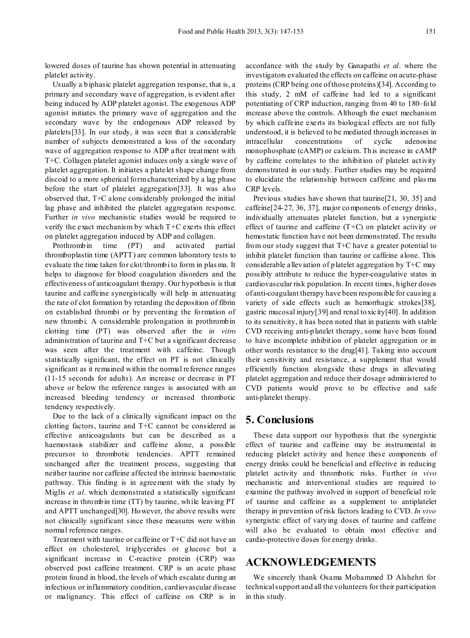lowered doses of taurine has shown potential in attenuating platelet activity.

Usually a biphasic platelet aggregation response, that is, a primary and secondary wave of aggregation, is evident after being induced by ADP platelet agonist. The exogenous ADP agonist initiates the primary wave of aggregation and the secondary wave by the endogenous ADP released by platelets[33]. In our study, it was seen that a considerable number of subjects demonstrated a loss of the secondary wave of aggregation response to ADP after treatment with T+C. Collagen platelet agonist induces only a single wave of platelet aggregation. It initiates a platelet shape change from discoid to a more spherical form characterized by a lag phase before the start of platelet aggregation[33]. It was also observed that, T+C alone considerably prolonged the initial lag phase and inhibited the platelet aggregation response. Further *in vivo* mechanistic studies would be required to verify the exact mechanism by which T+C exerts this effect on platelet aggregation induced by ADP and collagen.

Prothrombin time (PT) and activated partial thromboplastin time (APTT) are common laboratory tests to evaluate the time taken for clot/thrombi to form in plas ma. It helps to diagnose for blood coagulation disorders and the effectiveness of anticoagulant therapy. Our hypothesis is that taurine and caffeine synergistically will help in attenuating the rate of clot formation by retarding the deposition of fibrin on established thrombi or by preventing the formation of new thrombi. A considerable prolongation in prothrombin clotting time (PT) was observed after the *in vitro* administration of taurine and T+C but a significant decrease was seen after the treatment with caffeine. Though statistically significant, the effect on PT is not clinically significant as it remained within the normal reference ranges (11-15 seconds for adults). An increase or decrease in PT above or below the reference ranges is associated with an increased bleeding tendency or increased thrombotic tendency respectively.

Due to the lack of a clinically significant impact on the clotting factors, taurine and T+C cannot be considered as effective anticoagulants but can be described as a haemostasis stabilizer and caffeine alone, a possible precursor to thrombotic tendencies. APTT remained unchanged after the treatment process, suggesting that neither taurine nor caffeine affected the intrinsic haemostatic pathway. This finding is in agreement with the study by Miglis *et al*. which demonstrated a statistically significant increase in thrombin time (TT) by taurine, while leaving PT and APTT unchanged[30]. However, the above results were not clinically significant since these measures were within normal reference ranges.

Treatment with taurine or caffeine or T+C did not have an effect on cholesterol, triglycerides or glucose but a significant increase in C-reactive protein (CRP) was observed post caffeine treatment. CRP is an acute phase protein found in blood, the levels of which escalate during an infectious or inflammatory condition, cardiovascular disease or malignancy. This effect of caffeine on CRP is in

accordance with the study by Ganapathi *et al*. where the investigators evaluated the effects on caffeine on acute-phase proteins (CRP being one of those proteins)[34]. According to this study, 2 mM of caffeine had led to a significant potentiating of CRP induction, ranging from 40 to 180–fold increase above the controls. Although the exact mechanism by which caffeine exerts its biological effects are not fully understood, it is believed to be mediated through increases in intracellular concentrations of cyclic adenosine monophosphate (cAMP) or calcium. This increase in cAMP by caffeine correlates to the inhibition of platelet activity demonstrated in our study. Further studies may be required to elucidate the relationship between caffeine and plas ma CRP levels.

Previous studies have shown that taurine[21, 30, 35] and caffeine[24-27, 36, 37], major components of energy drinks, individually attenuates platelet function, but a synergistic effect of taurine and caffeine  $(T+C)$  on platelet activity or hemostatic function have not been demonstrated. The results from our study suggest that T+C have a greater potential to inhibit platelet function than taurine or caffeine alone. This considerable alleviation of platelet aggregation by T+C may possibly attribute to reduce the hyper-coagulative states in cardiovascular risk population. In recent times, higher doses of anti-coagulant therapy have been responsible for causing a variety of side effects such as hemorrhagic strokes[38], gastric mucosal injury[39] and renal toxicity[40]. In addition to its sensitivity, it has been noted that in patients with stable CVD receiving anti-platelet therapy, some have been found to have incomplete inhibition of platelet aggregation or in other words resistance to the drug[41]. Taking into account their sensitivity and resistance, a supplement that would efficiently function alongside these drugs in alleviating platelet aggregation and reduce their dosage administered to CVD patients would prove to be effective and safe anti-platelet therapy.

## **5. Conclusions**

These data support our hypothesis that the synergistic effect of taurine and caffeine may be instrumental in reducing platelet activity and hence these components of energy drinks could be beneficial and effective in reducing platelet activity and thrombotic risks. Further *in vivo* mechanistic and interventional studies are required to examine the pathway involved in support of beneficial role of taurine and caffeine as a supplement to antiplatelet therapy in prevention of risk factors leading to CVD. *In vivo* synergistic effect of varying doses of taurine and caffeine will also be evaluated to obtain most effective and cardio-protective doses for energy drinks.

## **ACKNOWLEDGEMENTS**

We sincerely thank Osama Mohammed D Alshehri for technical support and all the volunteers for their participation in this study.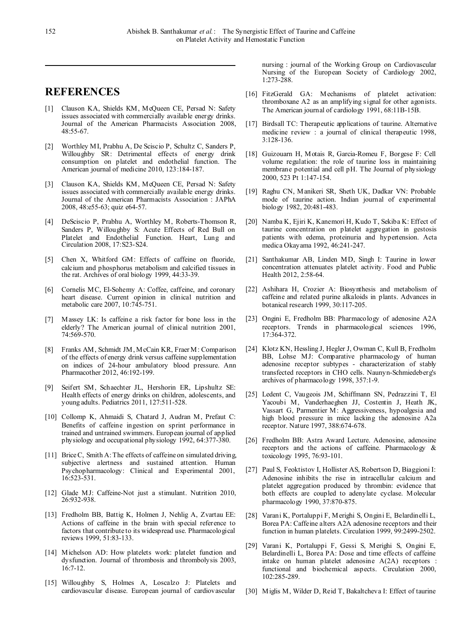# **REFERENCES**

- [1] Clauson KA, Shields KM, McQueen CE, Persad N: Safety issues associated with commercially available energy drinks. Journal of the American Pharmacists Association 2008, 48:55-67.
- [2] Worthley MI, Prabhu A, De Sciscio P, Schultz C, Sanders P, Willoughby SR: Detrimental effects of energy drink consumption on platelet and endothelial function. The American journal of medicine 2010, 123:184-187.
- [3] Clauson KA, Shields KM, McQueen CE, Persad N: Safety issues associated with commercially available energy drinks. Journal of the American Pharmacists Association : JAPhA 2008, 48:e55-63; quiz e64-57.
- [4] DeSciscio P, Prabhu A, Worthley M, Roberts-Thomson R, Sanders P, Willoughby S: Acute Effects of Red Bull on Platelet and Endothelial Function. Heart, Lung and Circulation 2008, 17:S23-S24.
- [5] Chen X, Whitford GM: Effects of caffeine on fluoride, calcium and phosphorus metabolism and calcified tissues in the rat. Archives of oral biology 1999, 44:33-39.
- [6] Cornelis MC, El-Sohemy A: Coffee, caffeine, and coronary heart disease. Current opinion in clinical nutrition and metabolic care 2007, 10:745-751.
- [7] Massey LK: Is caffeine a risk factor for bone loss in the elderly? The American journal of clinical nutrition 2001, 74:569-570.
- [8] Franks AM, Schmidt JM, McCain KR, Fraer M: Comparison of the effects of energy drink versus caffeine supplementation on indices of 24-hour ambulatory blood pressure. Ann Pharmacother 2012, 46:192-199.
- [9] Seifert SM, Schaechter JL, Hershorin ER, Lipshultz SE: Health effects of energy drinks on children, adolescents, and young adults. Pediatrics 2011, 127:511-528.
- [10] Collomp K, Ahmaidi S, Chatard J, Audran M, Prefaut C: Benefits of caffeine ingestion on sprint performance in trained and untrained swimmers. European journal of applied physiology and occupational physiology 1992, 64:377-380.
- [11] Brice C, Smith A: The effects of caffeine on simulated driving, subjective alertness and sustained attention. Human Psychopharmacology: Clinical and Experimental 2001, 16:523-531.
- [12] Glade MJ: Caffeine-Not just a stimulant. Nutrition 2010, 26:932-938.
- [13] Fredholm BB, Battig K, Holmen J, Nehlig A, Zvartau EE: Actions of caffeine in the brain with special reference to factors that contribute to its widespread use. Pharmacological reviews 1999, 51:83-133.
- [14] Michelson AD: How platelets work: platelet function and dysfunction. Journal of thrombosis and thrombolysis 2003, 16:7-12.
- [15] Willoughby S, Holmes A, Loscalzo J: Platelets and cardiovascular disease. European journal of cardiovascular

nursing : journal of the Working Group on Cardiovascular Nursing of the European Society of Cardiology 2002, 1:273-288.

- [16] FitzGerald GA: Mechanisms of platelet activation: thromboxane A2 as an amplifying signal for other agonists. The American journal of cardiology 1991, 68:11B-15B.
- [17] Birdsall TC: Therapeutic applications of taurine. Alternative medicine review : a journal of clinical therapeutic 1998, 3:128-136.
- [18] Guizouarn H, Motais R, Garcia-Romeu F, Borgese F: Cell volume regulation: the role of taurine loss in maintaining membrane potential and cell pH. The Journal of physiology 2000, 523 Pt 1:147-154.
- [19] Raghu CN, Manikeri SR, Sheth UK, Dadkar VN: Probable mode of taurine action. Indian journal of experimental biology 1982, 20:481-483.
- [20] Namba K, Ejiri K, Kanemori H, Kudo T, Sekiba K: Effect of taurine concentration on platelet aggregation in gestosis patients with edema, proteinuria and hypertension. Acta medica Okayama 1992, 46:241-247.
- [21] Santhakumar AB, Linden MD, Singh I: Taurine in lower concentration attenuates platelet activity. Food and Public Health 2012, 2:58-64.
- [22] Ashihara H, Crozier A: Biosynthesis and metabolism of caffeine and related purine alkaloids in plants. Advances in botanical research 1999, 30:117-205.
- [23] Ongini E, Fredholm BB: Pharmacology of adenosine A2A receptors. Trends in pharmacological sciences 1996, 17:364-372.
- [24] Klotz KN, Hessling J, Hegler J, Owman C, Kull B, Fredholm BB, Lohse MJ: Comparative pharmacology of human adenosine receptor subtypes - characterization of stably transfected receptors in CHO cells. Naunyn-Schmiedeberg's archives of pharmacology 1998, 357:1-9.
- [25] Ledent C, Vaugeois JM, Schiffmann SN, Pedrazzini T, El Yacoubi M, Vanderhaeghen JJ, Costentin J, Heath JK, Vassart G, Parmentier M: Aggressiveness, hypoalgesia and high blood pressure in mice lacking the adenosine A2a receptor. Nature 1997, 388:674-678.
- [26] Fredholm BB: Astra Award Lecture. Adenosine, adenosine receptors and the actions of caffeine. Pharmacology & toxicology 1995, 76:93-101.
- [27] Paul S, Feoktistov I, Hollister AS, Robertson D, Biaggioni I: Adenosine inhibits the rise in intracellular calcium and platelet aggregation produced by thrombin: evidence that both effects are coupled to adenylate cyclase. Molecular pharmacology 1990, 37:870-875.
- [28] Varani K, Portaluppi F, Merighi S, Ongini E, Belardinelli L, Borea PA: Caffeine alters A2A adenosine receptors and their function in human platelets. Circulation 1999, 99:2499-2502.
- [29] Varani K, Portaluppi F, Gessi S, Merighi S, Ongini E, Belardinelli L, Borea PA: Dose and time effects of caffeine intake on human platelet adenosine A(2A) receptors : functional and biochemical aspects. Circulation 2000, 102:285-289.
- [30] Miglis M, Wilder D, Reid T, Bakaltcheva I: Effect of taurine